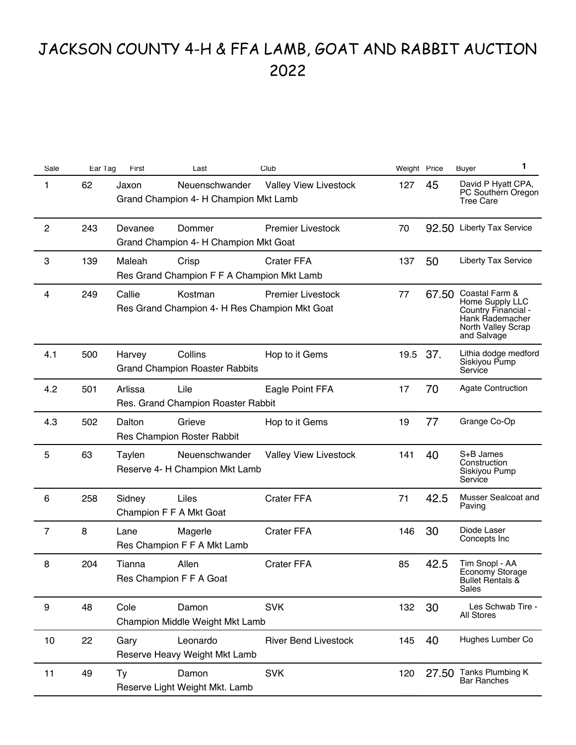## JACKSON COUNTY 4-H & FFA LAMB, GOAT AND RABBIT AUCTION 2022

| Sale           | Ear Tag | First<br>Last                                                    | Club                                                                      | Weight Price |       | <b>Buyer</b>                                                                                                     | 1 |
|----------------|---------|------------------------------------------------------------------|---------------------------------------------------------------------------|--------------|-------|------------------------------------------------------------------------------------------------------------------|---|
| 1              | 62      | Jaxon<br>Neuenschwander<br>Grand Champion 4- H Champion Mkt Lamb | <b>Valley View Livestock</b>                                              | 127          | 45    | David P Hyatt CPA,<br>PC Southern Oregon<br><b>Tree Care</b>                                                     |   |
| $\overline{c}$ | 243     | Devanee<br>Dommer<br>Grand Champion 4- H Champion Mkt Goat       | <b>Premier Livestock</b>                                                  | 70           | 92.50 | <b>Liberty Tax Service</b>                                                                                       |   |
| 3              | 139     | Maleah<br>Crisp<br>Res Grand Champion F F A Champion Mkt Lamb    | <b>Crater FFA</b>                                                         | 137          | 50    | <b>Liberty Tax Service</b>                                                                                       |   |
| 4              | 249     | Callie<br>Kostman                                                | <b>Premier Livestock</b><br>Res Grand Champion 4- H Res Champion Mkt Goat | 77           | 67.50 | Coastal Farm &<br>Home Supply LLC<br>Country Financial -<br>Hank Rademacher<br>North Valley Scrap<br>and Salvage |   |
| 4.1            | 500     | Collins<br>Harvey<br><b>Grand Champion Roaster Rabbits</b>       | Hop to it Gems                                                            | 19.5         | 37.   | Lithia dodge medford<br>Siskiyou Pump<br>Service                                                                 |   |
| 4.2            | 501     | Arlissa<br>Lile<br>Res. Grand Champion Roaster Rabbit            | Eagle Point FFA                                                           | 17           | 70    | <b>Agate Contruction</b>                                                                                         |   |
| 4.3            | 502     | Dalton<br>Grieve<br><b>Res Champion Roster Rabbit</b>            | Hop to it Gems                                                            | 19           | 77    | Grange Co-Op                                                                                                     |   |
| 5              | 63      | Neuenschwander<br>Taylen<br>Reserve 4- H Champion Mkt Lamb       | <b>Valley View Livestock</b>                                              | 141          | 40    | S+B James<br>Construction<br>Siskiyou Pump<br>Service                                                            |   |
| 6              | 258     | Liles<br>Sidney<br>Champion F F A Mkt Goat                       | <b>Crater FFA</b>                                                         | 71           | 42.5  | Musser Sealcoat and<br>Paving                                                                                    |   |
| $\overline{7}$ | 8       | Magerle<br>Lane<br>Res Champion F F A Mkt Lamb                   | <b>Crater FFA</b>                                                         | 146          | 30    | Diode Laser<br>Concepts Inc                                                                                      |   |
| 8              | 204     | Allen<br>Tianna<br>Res Champion F F A Goat                       | <b>Crater FFA</b>                                                         | 85           | 42.5  | Tim Snopl - AA<br>Economy Storage<br>Bullet Rentals &<br>Sales                                                   |   |
| 9              | 48      | Cole<br>Damon<br>Champion Middle Weight Mkt Lamb                 | <b>SVK</b>                                                                | 132          | 30    | Les Schwab Tire -<br>All Stores                                                                                  |   |
| 10             | 22      | Leonardo<br>Gary<br>Reserve Heavy Weight Mkt Lamb                | <b>River Bend Livestock</b>                                               | 145          | 40    | Hughes Lumber Co                                                                                                 |   |
| 11             | 49      | Ty<br>Damon<br>Reserve Light Weight Mkt. Lamb                    | <b>SVK</b>                                                                | 120          | 27.50 | Tanks Plumbing K<br><b>Bar Ranches</b>                                                                           |   |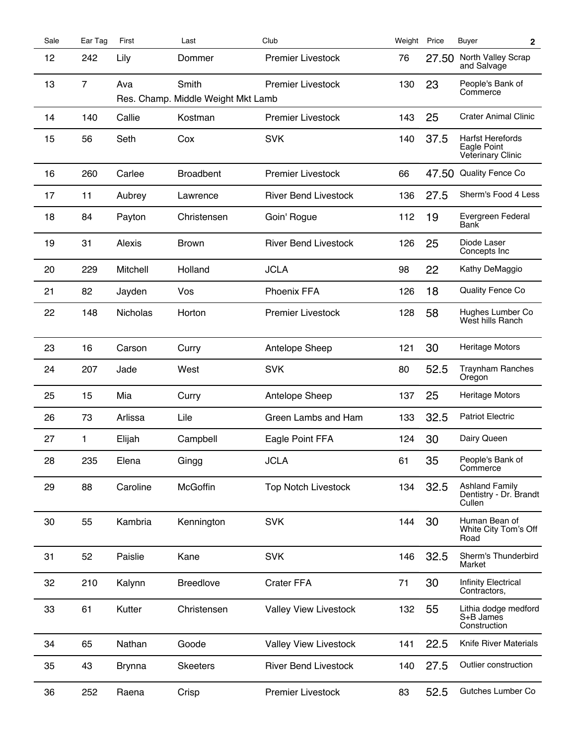| Sale | Ear Tag        | First           | Last                                        | Club                         | Weight | Price | Buyer<br>$\mathbf{2}$                                       |  |
|------|----------------|-----------------|---------------------------------------------|------------------------------|--------|-------|-------------------------------------------------------------|--|
| 12   | 242            | Lily            | Dommer                                      | <b>Premier Livestock</b>     | 76     | 27.50 | North Valley Scrap<br>and Salvage                           |  |
| 13   | $\overline{7}$ | Ava             | Smith<br>Res. Champ. Middle Weight Mkt Lamb | <b>Premier Livestock</b>     | 130    | 23    | People's Bank of<br>Commerce                                |  |
| 14   | 140            | Callie          | Kostman                                     | <b>Premier Livestock</b>     | 143    | 25    | <b>Crater Animal Clinic</b>                                 |  |
| 15   | 56             | Seth            | Cox                                         | <b>SVK</b>                   | 140    | 37.5  | <b>Harfst Herefords</b><br>Eagle Point<br>Veterinary Clinic |  |
| 16   | 260            | Carlee          | <b>Broadbent</b>                            | <b>Premier Livestock</b>     | 66     | 47.50 | Quality Fence Co                                            |  |
| 17   | 11             | Aubrey          | Lawrence                                    | <b>River Bend Livestock</b>  | 136    | 27.5  | Sherm's Food 4 Less                                         |  |
| 18   | 84             | Payton          | Christensen                                 | Goin' Rogue                  | 112    | 19    | Evergreen Federal<br>Bank                                   |  |
| 19   | 31             | Alexis          | <b>Brown</b>                                | <b>River Bend Livestock</b>  | 126    | 25    | Diode Laser<br>Concepts Inc                                 |  |
| 20   | 229            | Mitchell        | Holland                                     | <b>JCLA</b>                  | 98     | 22    | Kathy DeMaggio                                              |  |
| 21   | 82             | Jayden          | Vos                                         | Phoenix FFA                  | 126    | 18    | Quality Fence Co                                            |  |
| 22   | 148            | <b>Nicholas</b> | Horton                                      | Premier Livestock            | 128    | 58    | Hughes Lumber Co<br>West hills Ranch                        |  |
| 23   | 16             | Carson          | Curry                                       | Antelope Sheep               | 121    | 30    | Heritage Motors                                             |  |
| 24   | 207            | Jade            | West                                        | <b>SVK</b>                   | 80     | 52.5  | <b>Traynham Ranches</b><br>Oregon                           |  |
| 25   | 15             | Mia             | Curry                                       | Antelope Sheep               | 137    | 25    | <b>Heritage Motors</b>                                      |  |
| 26   | 73             | Arlissa         | Lile                                        | Green Lambs and Ham          | 133    | 32.5  | <b>Patriot Electric</b>                                     |  |
| 27   | 1              | Elijah          | Campbell                                    | Eagle Point FFA              | 124    | 30    | Dairy Queen                                                 |  |
| 28   | 235            | Elena           | Gingg                                       | <b>JCLA</b>                  | 61     | 35    | People's Bank of<br>Commerce                                |  |
| 29   | 88             | Caroline        | McGoffin                                    | <b>Top Notch Livestock</b>   | 134    | 32.5  | <b>Ashland Family</b><br>Dentistry - Dr. Brandt<br>Cullen   |  |
| 30   | 55             | Kambria         | Kennington                                  | <b>SVK</b>                   | 144    | 30    | Human Bean of<br>White City Tom's Off<br>Road               |  |
| 31   | 52             | Paislie         | Kane                                        | <b>SVK</b>                   | 146    | 32.5  | Sherm's Thunderbird<br>Market                               |  |
| 32   | 210            | Kalynn          | <b>Breedlove</b>                            | <b>Crater FFA</b>            | 71     | 30    | <b>Infinity Electrical</b><br>Contractors,                  |  |
| 33   | 61             | Kutter          | Christensen                                 | <b>Valley View Livestock</b> | 132    | 55    | Lithia dodge medford<br>S+B James<br>Construction           |  |
| 34   | 65             | Nathan          | Goode                                       | <b>Valley View Livestock</b> | 141    | 22.5  | Knife River Materials                                       |  |
| 35   | 43             | Brynna          | <b>Skeeters</b>                             | <b>River Bend Livestock</b>  | 140    | 27.5  | Outlier construction                                        |  |
| 36   | 252            | Raena           | Crisp                                       | <b>Premier Livestock</b>     | 83     | 52.5  | Gutches Lumber Co                                           |  |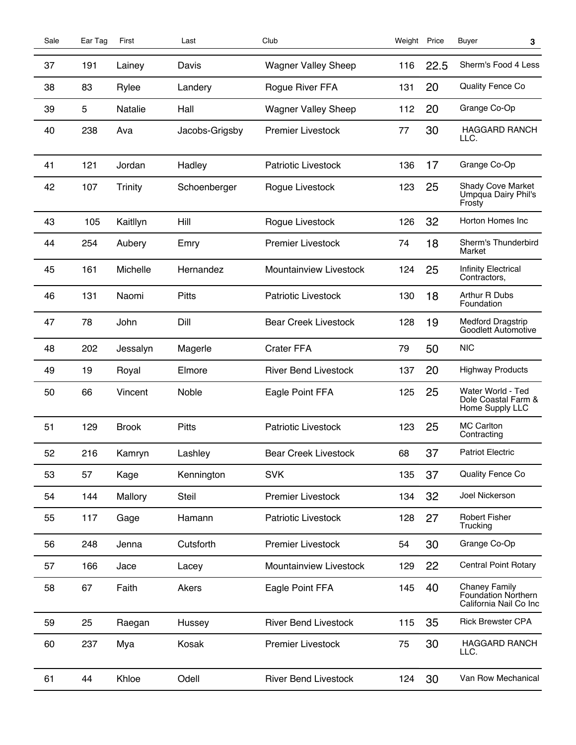| Sale | Ear Tag | First          | Last           | Club                          | Weight Price |      | Buyer<br>3                                                            |  |
|------|---------|----------------|----------------|-------------------------------|--------------|------|-----------------------------------------------------------------------|--|
| 37   | 191     | Lainey         | Davis          | <b>Wagner Valley Sheep</b>    | 116          | 22.5 | Sherm's Food 4 Less                                                   |  |
| 38   | 83      | Rylee          | Landery        | Rogue River FFA               | 131          | 20   | Quality Fence Co                                                      |  |
| 39   | 5       | Natalie        | Hall           | <b>Wagner Valley Sheep</b>    | 112          | 20   | Grange Co-Op                                                          |  |
| 40   | 238     | Ava            | Jacobs-Grigsby | <b>Premier Livestock</b>      | 77           | 30   | <b>HAGGARD RANCH</b><br>LLC.                                          |  |
| 41   | 121     | Jordan         | Hadley         | <b>Patriotic Livestock</b>    | 136          | 17   | Grange Co-Op                                                          |  |
| 42   | 107     | <b>Trinity</b> | Schoenberger   | Rogue Livestock               | 123          | 25   | <b>Shady Cove Market</b><br>Umpqua Dairy Phil's<br>Frosty             |  |
| 43   | 105     | Kaitllyn       | Hill           | Rogue Livestock               | 126          | 32   | Horton Homes Inc                                                      |  |
| 44   | 254     | Aubery         | Emry           | <b>Premier Livestock</b>      | 74           | 18   | Sherm's Thunderbird<br>Market                                         |  |
| 45   | 161     | Michelle       | Hernandez      | <b>Mountainview Livestock</b> | 124          | 25   | <b>Infinity Electrical</b><br>Contractors,                            |  |
| 46   | 131     | Naomi          | <b>Pitts</b>   | <b>Patriotic Livestock</b>    | 130          | 18   | Arthur R Dubs<br>Foundation                                           |  |
| 47   | 78      | John           | Dill           | <b>Bear Creek Livestock</b>   | 128          | 19   | Medford Dragstrip<br>Goodlett Automotive                              |  |
| 48   | 202     | Jessalyn       | Magerle        | <b>Crater FFA</b>             | 79           | 50   | <b>NIC</b>                                                            |  |
| 49   | 19      | Royal          | Elmore         | <b>River Bend Livestock</b>   | 137          | 20   | <b>Highway Products</b>                                               |  |
| 50   | 66      | Vincent        | Noble          | Eagle Point FFA               | 125          | 25   | Water World - Ted<br>Dole Coastal Farm &<br>Home Supply LLC           |  |
| 51   | 129     | <b>Brook</b>   | <b>Pitts</b>   | <b>Patriotic Livestock</b>    | 123          | 25   | <b>MC Carlton</b><br>Contracting                                      |  |
| 52   | 216     | Kamryn         | Lashley        | <b>Bear Creek Livestock</b>   | 68           | 37   | <b>Patriot Electric</b>                                               |  |
| 53   | 57      | Kage           | Kennington     | <b>SVK</b>                    | 135          | 37   | Quality Fence Co                                                      |  |
| 54   | 144     | Mallory        | <b>Steil</b>   | <b>Premier Livestock</b>      | 134          | 32   | Joel Nickerson                                                        |  |
| 55   | 117     | Gage           | Hamann         | <b>Patriotic Livestock</b>    | 128          | 27   | <b>Robert Fisher</b><br>Trucking                                      |  |
| 56   | 248     | Jenna          | Cutsforth      | <b>Premier Livestock</b>      | 54           | 30   | Grange Co-Op                                                          |  |
| 57   | 166     | Jace           | Lacey          | Mountainview Livestock        | 129          | 22   | <b>Central Point Rotary</b>                                           |  |
| 58   | 67      | Faith          | Akers          | Eagle Point FFA               | 145          | 40   | <b>Chaney Family</b><br>Foundation Northern<br>California Nail Co Inc |  |
| 59   | 25      | Raegan         | Hussey         | <b>River Bend Livestock</b>   | 115          | 35   | <b>Rick Brewster CPA</b>                                              |  |
| 60   | 237     | Mya            | Kosak          | <b>Premier Livestock</b>      | 75           | 30   | <b>HAGGARD RANCH</b><br>LLC.                                          |  |
| 61   | 44      | Khloe          | Odell          | <b>River Bend Livestock</b>   | 124          | 30   | Van Row Mechanical                                                    |  |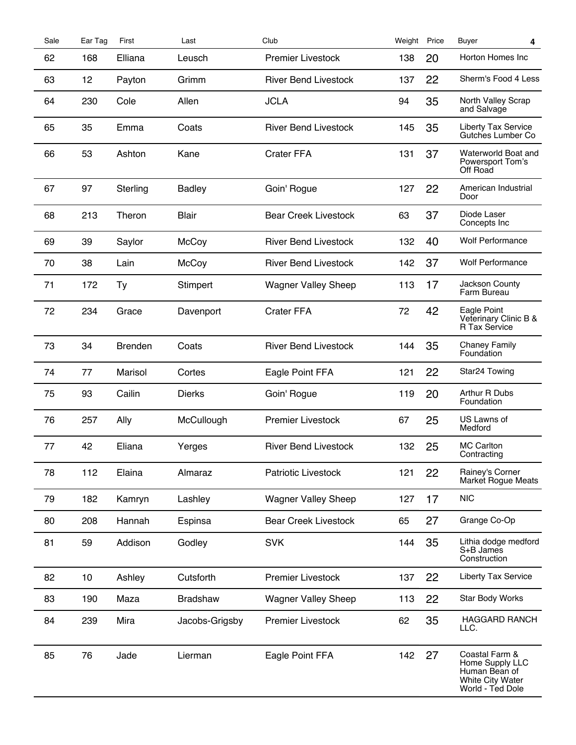| Sale | Ear Tag | First          | Last            | Club                        | Weight Price |    | Buyer<br>4                                                                                        |  |
|------|---------|----------------|-----------------|-----------------------------|--------------|----|---------------------------------------------------------------------------------------------------|--|
| 62   | 168     | Elliana        | Leusch          | <b>Premier Livestock</b>    | 138          | 20 | Horton Homes Inc                                                                                  |  |
| 63   | 12      | Payton         | Grimm           | <b>River Bend Livestock</b> | 137          | 22 | Sherm's Food 4 Less                                                                               |  |
| 64   | 230     | Cole           | Allen           | <b>JCLA</b>                 | 94           | 35 | North Valley Scrap<br>and Salvage                                                                 |  |
| 65   | 35      | Emma           | Coats           | <b>River Bend Livestock</b> | 145          | 35 | Liberty Tax Service<br>Gutches Lumber Co                                                          |  |
| 66   | 53      | Ashton         | Kane            | <b>Crater FFA</b>           | 131          | 37 | Waterworld Boat and<br>Powersport Tom's<br>Off Road                                               |  |
| 67   | 97      | Sterling       | <b>Badley</b>   | Goin' Rogue                 | 127          | 22 | American Industrial<br>Door                                                                       |  |
| 68   | 213     | Theron         | <b>Blair</b>    | <b>Bear Creek Livestock</b> | 63           | 37 | Diode Laser<br>Concepts Inc                                                                       |  |
| 69   | 39      | Saylor         | McCoy           | <b>River Bend Livestock</b> | 132          | 40 | <b>Wolf Performance</b>                                                                           |  |
| 70   | 38      | Lain           | McCoy           | <b>River Bend Livestock</b> | 142          | 37 | <b>Wolf Performance</b>                                                                           |  |
| 71   | 172     | Ty             | Stimpert        | <b>Wagner Valley Sheep</b>  | 113          | 17 | Jackson County<br>Farm Bureau                                                                     |  |
| 72   | 234     | Grace          | Davenport       | <b>Crater FFA</b>           | 72           | 42 | Eagle Point<br>Veterinary Clinic B &<br>R Tax Service                                             |  |
| 73   | 34      | <b>Brenden</b> | Coats           | <b>River Bend Livestock</b> | 144          | 35 | <b>Chaney Family</b><br>Foundation                                                                |  |
| 74   | 77      | Marisol        | Cortes          | Eagle Point FFA             | 121          | 22 | Star24 Towing                                                                                     |  |
| 75   | 93      | Cailin         | <b>Dierks</b>   | Goin' Rogue                 | 119          | 20 | Arthur R Dubs<br>Foundation                                                                       |  |
| 76   | 257     | Ally           | McCullough      | <b>Premier Livestock</b>    | 67           | 25 | US Lawns of<br>Medford                                                                            |  |
| 77   | 42      | Eliana         | Yerges          | <b>River Bend Livestock</b> | 132          | 25 | <b>MC Carlton</b><br>Contracting                                                                  |  |
| 78   | 112     | Elaina         | Almaraz         | Patriotic Livestock         | 121          | 22 | Rainey's Corner<br><b>Market Rogue Meats</b>                                                      |  |
| 79   | 182     | Kamryn         | Lashley         | <b>Wagner Valley Sheep</b>  | 127          | 17 | <b>NIC</b>                                                                                        |  |
| 80   | 208     | Hannah         | Espinsa         | <b>Bear Creek Livestock</b> | 65           | 27 | Grange Co-Op                                                                                      |  |
| 81   | 59      | Addison        | Godley          | <b>SVK</b>                  | 144          | 35 | Lithia dodge medford<br>S+B James<br>Construction                                                 |  |
| 82   | 10      | Ashley         | Cutsforth       | <b>Premier Livestock</b>    | 137          | 22 | Liberty Tax Service                                                                               |  |
| 83   | 190     | Maza           | <b>Bradshaw</b> | <b>Wagner Valley Sheep</b>  | 113          | 22 | Star Body Works                                                                                   |  |
| 84   | 239     | Mira           | Jacobs-Grigsby  | <b>Premier Livestock</b>    | 62           | 35 | <b>HAGGARD RANCH</b><br>LLC.                                                                      |  |
| 85   | 76      | Jade           | Lierman         | Eagle Point FFA             | 142          | 27 | Coastal Farm &<br>Home Supply LLC<br>Human Bean of<br><b>White City Water</b><br>World - Ted Dole |  |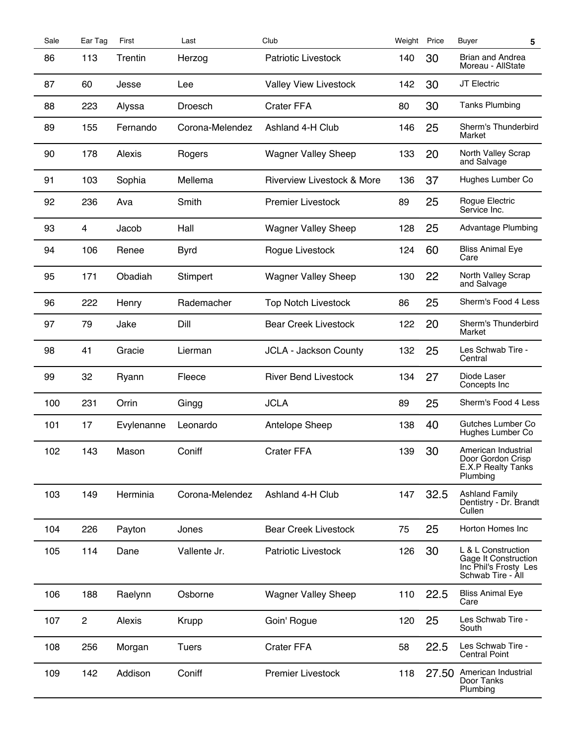| Sale | Ear Tag      | First      | Last            | Club                                  | Weight Price |       | Buyer<br>5                                                                               |  |
|------|--------------|------------|-----------------|---------------------------------------|--------------|-------|------------------------------------------------------------------------------------------|--|
| 86   | 113          | Trentin    | Herzog          | <b>Patriotic Livestock</b>            | 140          | 30    | <b>Brian and Andrea</b><br>Moreau - AllState                                             |  |
| 87   | 60           | Jesse      | Lee             | <b>Valley View Livestock</b>          | 142          | 30    | JT Electric                                                                              |  |
| 88   | 223          | Alyssa     | Droesch         | <b>Crater FFA</b>                     | 80           | 30    | <b>Tanks Plumbing</b>                                                                    |  |
| 89   | 155          | Fernando   | Corona-Melendez | Ashland 4-H Club                      | 146          | 25    | Sherm's Thunderbird<br>Market                                                            |  |
| 90   | 178          | Alexis     | Rogers          | <b>Wagner Valley Sheep</b>            | 133          | 20    | North Valley Scrap<br>and Salvage                                                        |  |
| 91   | 103          | Sophia     | Mellema         | <b>Riverview Livestock &amp; More</b> | 136          | 37    | Hughes Lumber Co                                                                         |  |
| 92   | 236          | Ava        | Smith           | <b>Premier Livestock</b>              | 89           | 25    | Rogue Electric<br>Service Inc.                                                           |  |
| 93   | 4            | Jacob      | Hall            | <b>Wagner Valley Sheep</b>            | 128          | 25    | Advantage Plumbing                                                                       |  |
| 94   | 106          | Renee      | <b>Byrd</b>     | Rogue Livestock                       | 124          | 60    | <b>Bliss Animal Eye</b><br>Care                                                          |  |
| 95   | 171          | Obadiah    | Stimpert        | <b>Wagner Valley Sheep</b>            | 130          | 22    | North Valley Scrap<br>and Salvage                                                        |  |
| 96   | 222          | Henry      | Rademacher      | <b>Top Notch Livestock</b>            | 86           | 25    | Sherm's Food 4 Less                                                                      |  |
| 97   | 79           | Jake       | Dill            | <b>Bear Creek Livestock</b>           | 122          | 20    | Sherm's Thunderbird<br>Market                                                            |  |
| 98   | 41           | Gracie     | Lierman         | <b>JCLA - Jackson County</b>          | 132          | 25    | Les Schwab Tire -<br>Central                                                             |  |
| 99   | 32           | Ryann      | Fleece          | <b>River Bend Livestock</b>           | 134          | 27    | Diode Laser<br>Concepts Inc                                                              |  |
| 100  | 231          | Orrin      | Gingg           | <b>JCLA</b>                           | 89           | 25    | Sherm's Food 4 Less                                                                      |  |
| 101  | 17           | Evylenanne | Leonardo        | Antelope Sheep                        | 138          | 40    | Gutches Lumber Co<br>Hughes Lumber Co                                                    |  |
| 102  | 143          | Mason      | Coniff          | <b>Crater FFA</b>                     | 139          | 30    | American Industrial<br>Door Gordon Crisp<br><b>E.X.P Realty Tanks</b><br>Plumbing        |  |
| 103  | 149          | Herminia   | Corona-Melendez | Ashland 4-H Club                      | 147          | 32.5  | <b>Ashland Family</b><br>Dentistry - Dr. Brandt<br>Cullen                                |  |
| 104  | 226          | Payton     | Jones           | <b>Bear Creek Livestock</b>           | 75           | 25    | Horton Homes Inc                                                                         |  |
| 105  | 114          | Dane       | Vallente Jr.    | <b>Patriotic Livestock</b>            | 126          | 30    | L & L Construction<br>Gage It Construction<br>Inc Phil's Frosty Les<br>Schwab Tire - All |  |
| 106  | 188          | Raelynn    | Osborne         | <b>Wagner Valley Sheep</b>            | 110          | 22.5  | <b>Bliss Animal Eye</b><br>Care                                                          |  |
| 107  | $\mathbf{2}$ | Alexis     | Krupp           | Goin' Rogue                           | 120          | 25    | Les Schwab Tire -<br>South                                                               |  |
| 108  | 256          | Morgan     | <b>Tuers</b>    | <b>Crater FFA</b>                     | 58           | 22.5  | Les Schwab Tire -<br><b>Central Point</b>                                                |  |
| 109  | 142          | Addison    | Coniff          | <b>Premier Livestock</b>              | 118          | 27.50 | American Industrial<br>Door Tanks<br>Plumbing                                            |  |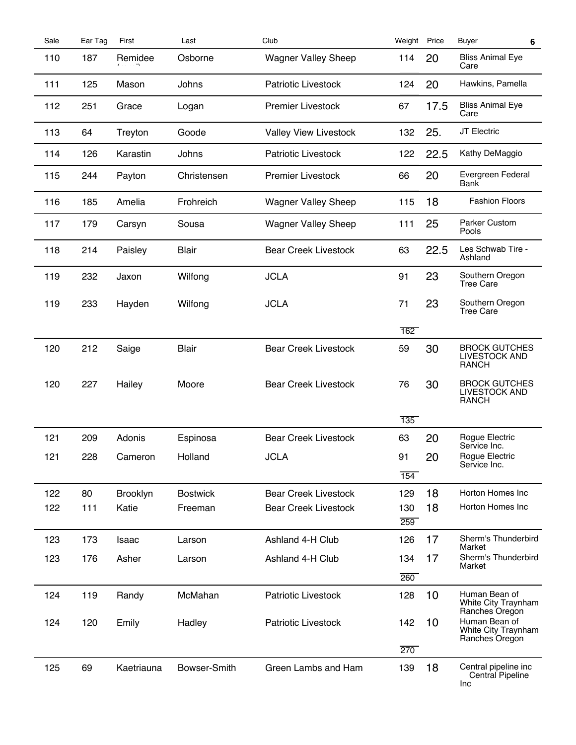| Sale | Ear Tag | First      | Last            | Club                         | Weight Price |      | Buyer<br>6                                             |  |
|------|---------|------------|-----------------|------------------------------|--------------|------|--------------------------------------------------------|--|
| 110  | 187     | Remidee    | Osborne         | <b>Wagner Valley Sheep</b>   | 114          | 20   | <b>Bliss Animal Eye</b><br>Care                        |  |
| 111  | 125     | Mason      | Johns           | <b>Patriotic Livestock</b>   | 124          | 20   | Hawkins, Pamella                                       |  |
| 112  | 251     | Grace      | Logan           | <b>Premier Livestock</b>     | 67           | 17.5 | <b>Bliss Animal Eye</b><br>Care                        |  |
| 113  | 64      | Treyton    | Goode           | <b>Valley View Livestock</b> | 132          | 25.  | JT Electric                                            |  |
| 114  | 126     | Karastin   | Johns           | <b>Patriotic Livestock</b>   | 122          | 22.5 | Kathy DeMaggio                                         |  |
| 115  | 244     | Payton     | Christensen     | <b>Premier Livestock</b>     | 66           | 20   | Evergreen Federal<br>Bank                              |  |
| 116  | 185     | Amelia     | Frohreich       | <b>Wagner Valley Sheep</b>   | 115          | 18   | <b>Fashion Floors</b>                                  |  |
| 117  | 179     | Carsyn     | Sousa           | <b>Wagner Valley Sheep</b>   | 111          | 25   | <b>Parker Custom</b><br>Pools                          |  |
| 118  | 214     | Paisley    | <b>Blair</b>    | <b>Bear Creek Livestock</b>  | 63           | 22.5 | Les Schwab Tire -<br>Ashland                           |  |
| 119  | 232     | Jaxon      | Wilfong         | <b>JCLA</b>                  | 91           | 23   | Southern Oregon<br><b>Tree Care</b>                    |  |
| 119  | 233     | Hayden     | Wilfong         | <b>JCLA</b>                  | 71           | 23   | Southern Oregon<br><b>Tree Care</b>                    |  |
|      |         |            |                 |                              | 162          |      |                                                        |  |
| 120  | 212     | Saige      | <b>Blair</b>    | <b>Bear Creek Livestock</b>  | 59           | 30   | <b>BROCK GUTCHES</b><br>LIVESTOCK AND<br><b>RANCH</b>  |  |
| 120  | 227     | Hailey     | Moore           | <b>Bear Creek Livestock</b>  | 76           | 30   | <b>BROCK GUTCHES</b><br>LIVESTOCK AND<br><b>RANCH</b>  |  |
|      |         |            |                 |                              | 135          |      |                                                        |  |
| 121  | 209     | Adonis     | Espinosa        | <b>Bear Creek Livestock</b>  | 63           | 20   | Rogue Electric<br>Service Inc.                         |  |
| 121  | 228     | Cameron    | Holland         | JCLA                         | 91           | 20   | Rogue Electric<br>Service Inc.                         |  |
|      |         |            |                 |                              | 154          |      |                                                        |  |
| 122  | 80      | Brooklyn   | <b>Bostwick</b> | <b>Bear Creek Livestock</b>  | 129          | 18   | Horton Homes Inc                                       |  |
| 122  | 111     | Katie      | Freeman         | <b>Bear Creek Livestock</b>  | 130          | 18   | Horton Homes Inc                                       |  |
|      |         |            |                 |                              | 259          |      |                                                        |  |
| 123  | 173     | Isaac      | Larson          | Ashland 4-H Club             | 126          | 17   | Sherm's Thunderbird<br>Market                          |  |
| 123  | 176     | Asher      | Larson          | Ashland 4-H Club             | 134          | 17   | Sherm's Thunderbird<br>Market                          |  |
|      |         |            |                 |                              | 260          |      |                                                        |  |
| 124  | 119     | Randy      | McMahan         | Patriotic Livestock          | 128          | 10   | Human Bean of<br>White City Traynham<br>Ranches Oregon |  |
| 124  | 120     | Emily      | Hadley          | <b>Patriotic Livestock</b>   | 142          | 10   | Human Bean of<br>White City Traynham<br>Ranches Oregon |  |
|      |         |            |                 |                              | 270          |      |                                                        |  |
| 125  | 69      | Kaetriauna | Bowser-Smith    | Green Lambs and Ham          | 139          | 18   | Central pipeline inc<br>Central Pipeline<br>Inc        |  |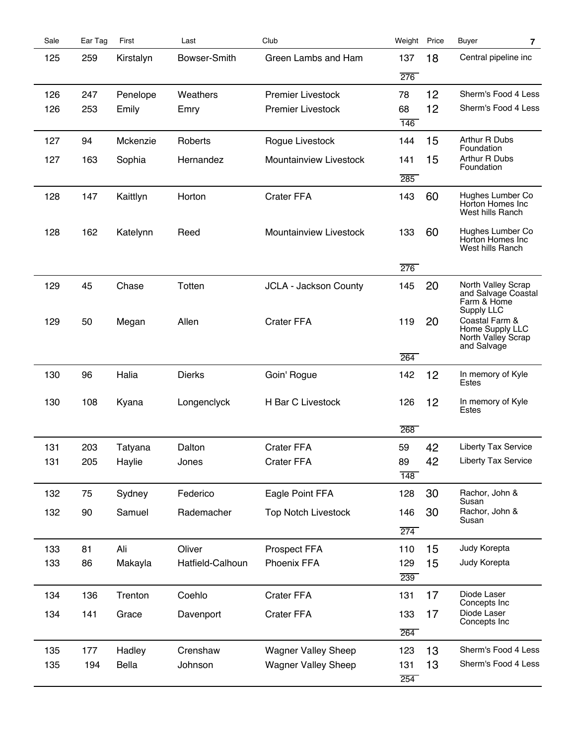| Sale | Ear Tag | First     | Last             | Club                         | Weight Price |    | Buyer<br>$\overline{\mathbf{r}}$     |
|------|---------|-----------|------------------|------------------------------|--------------|----|--------------------------------------|
| 125  | 259     | Kirstalyn | Bowser-Smith     | Green Lambs and Ham          | 137          | 18 | Central pipeline inc                 |
|      |         |           |                  |                              | 276          |    |                                      |
| 126  | 247     | Penelope  | Weathers         | <b>Premier Livestock</b>     | 78           | 12 | Sherm's Food 4 Less                  |
| 126  | 253     | Emily     | Emry             | <b>Premier Livestock</b>     | 68           | 12 | Sherm's Food 4 Less                  |
|      |         |           |                  |                              | 146          |    |                                      |
| 127  | 94      | Mckenzie  | Roberts          | Rogue Livestock              | 144          | 15 | Arthur R Dubs<br>Foundation          |
| 127  | 163     | Sophia    | Hernandez        | Mountainview Livestock       | 141          | 15 | Arthur R Dubs                        |
|      |         |           |                  |                              | 285          |    | Foundation                           |
| 128  | 147     | Kaittlyn  | Horton           | <b>Crater FFA</b>            | 143          | 60 | Hughes Lumber Co                     |
|      |         |           |                  |                              |              |    | Horton Homes Inc<br>West hills Ranch |
| 128  | 162     | Katelynn  | Reed             | Mountainview Livestock       | 133          | 60 | Hughes Lumber Co<br>Horton Homes Inc |
|      |         |           |                  |                              |              |    | West hills Ranch                     |
|      |         |           |                  |                              | 276          |    |                                      |
| 129  | 45      | Chase     | Totten           | <b>JCLA - Jackson County</b> | 145          | 20 | North Valley Scrap                   |
|      |         |           |                  |                              |              |    | and Salvage Coastal<br>Farm & Home   |
|      |         |           |                  |                              |              |    | Supply LLC<br>Coastal Farm &         |
| 129  | 50      | Megan     | Allen            | <b>Crater FFA</b>            | 119          | 20 | Home Supply LLC                      |
|      |         |           |                  |                              |              |    | North Valley Scrap<br>and Salvage    |
|      |         |           |                  |                              | 264          |    |                                      |
| 130  | 96      | Halia     | <b>Dierks</b>    | Goin' Rogue                  | 142          | 12 | In memory of Kyle<br>Estes           |
| 130  | 108     | Kyana     | Longenclyck      | <b>H Bar C Livestock</b>     | 126          | 12 | In memory of Kyle<br>Estes           |
|      |         |           |                  |                              | 268          |    |                                      |
| 131  | 203     | Tatyana   | Dalton           | <b>Crater FFA</b>            | 59           | 42 | <b>Liberty Tax Service</b>           |
| 131  | 205     | Haylie    | Jones            | <b>Crater FFA</b>            | 89           | 42 | Liberty Tax Service                  |
|      |         |           |                  |                              | 148          |    |                                      |
|      |         |           |                  |                              |              |    |                                      |
| 132  | 75      | Sydney    | Federico         | Eagle Point FFA              | 128          | 30 | Rachor, John &<br>Susan              |
| 132  | 90      | Samuel    | Rademacher       | <b>Top Notch Livestock</b>   | 146          | 30 | Rachor, John &<br>Susan              |
|      |         |           |                  |                              | 274          |    |                                      |
| 133  | 81      | Ali       | Oliver           | Prospect FFA                 | 110          | 15 | Judy Korepta                         |
| 133  | 86      | Makayla   | Hatfield-Calhoun | <b>Phoenix FFA</b>           | 129          | 15 | Judy Korepta                         |
|      |         |           |                  |                              | 239          |    |                                      |
| 134  | 136     | Trenton   | Coehlo           | <b>Crater FFA</b>            | 131          | 17 | Diode Laser                          |
| 134  | 141     | Grace     | Davenport        | <b>Crater FFA</b>            | 133          | 17 | Concepts Inc<br>Diode Laser          |
|      |         |           |                  |                              | 264          |    | Concepts Inc                         |
| 135  | 177     | Hadley    | Crenshaw         | <b>Wagner Valley Sheep</b>   | 123          | 13 | Sherm's Food 4 Less                  |
| 135  | 194     | Bella     | Johnson          | <b>Wagner Valley Sheep</b>   | 131          | 13 | Sherm's Food 4 Less                  |
|      |         |           |                  |                              | 254          |    |                                      |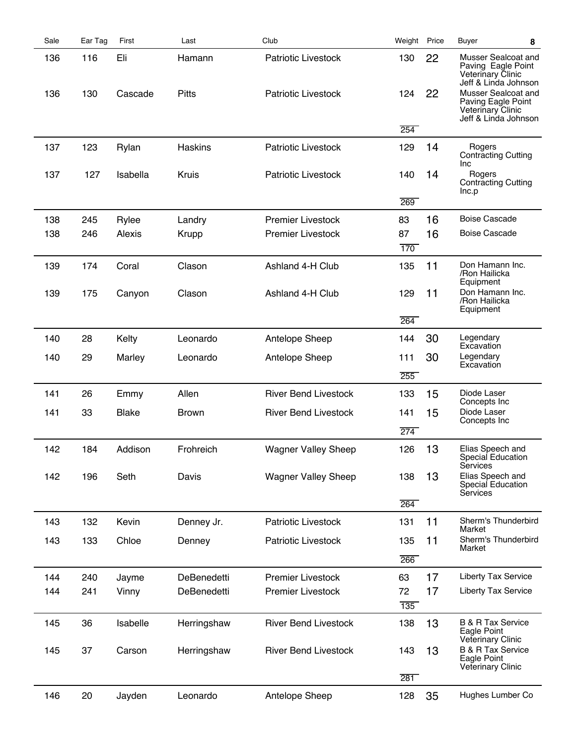| Sale | Ear Tag | First        | Last         | Club                        | Weight           | Price | Buyer<br>8                                                                                    |
|------|---------|--------------|--------------|-----------------------------|------------------|-------|-----------------------------------------------------------------------------------------------|
| 136  | 116     | Eli          | Hamann       | <b>Patriotic Livestock</b>  | 130              | 22    | Musser Sealcoat and<br>Paving Eagle Point<br>Veterinary Clinic<br>Jeff & Linda Johnson        |
| 136  | 130     | Cascade      | <b>Pitts</b> | <b>Patriotic Livestock</b>  | 124              | 22    | Musser Sealcoat and<br>Paving Eagle Point<br><b>Veterinary Clinic</b><br>Jeff & Linda Johnson |
|      |         |              |              |                             | 254              |       |                                                                                               |
| 137  | 123     | Rylan        | Haskins      | <b>Patriotic Livestock</b>  | 129              | 14    | Rogers<br><b>Contracting Cutting</b><br>Inc                                                   |
| 137  | 127     | Isabella     | <b>Kruis</b> | <b>Patriotic Livestock</b>  | 140              | 14    | Rogers<br><b>Contracting Cutting</b><br>Inc.p                                                 |
|      |         |              |              |                             | 269              |       |                                                                                               |
| 138  | 245     | Rylee        | Landry       | <b>Premier Livestock</b>    | 83               | 16    | <b>Boise Cascade</b>                                                                          |
| 138  | 246     | Alexis       | Krupp        | <b>Premier Livestock</b>    | 87               | 16    | <b>Boise Cascade</b>                                                                          |
|      |         |              |              |                             | 170              |       |                                                                                               |
| 139  | 174     | Coral        | Clason       | Ashland 4-H Club            | 135              | 11    | Don Hamann Inc.<br>/Ron Hailicka<br>Equipment                                                 |
| 139  | 175     | Canyon       | Clason       | Ashland 4-H Club            | 129              | 11    | Don Hamann Inc.<br>/Ron Hailicka<br>Equipment                                                 |
|      |         |              |              |                             | 264              |       |                                                                                               |
| 140  | 28      | Kelty        | Leonardo     | Antelope Sheep              | 144              | 30    | Legendary<br>Excavation                                                                       |
| 140  | 29      | Marley       | Leonardo     | Antelope Sheep              | 111              | 30    | Legendary                                                                                     |
|      |         |              |              |                             | 255              |       | Excavation                                                                                    |
| 141  | 26      | Emmy         | Allen        | <b>River Bend Livestock</b> | 133              | 15    | Diode Laser                                                                                   |
| 141  | 33      | <b>Blake</b> | <b>Brown</b> | <b>River Bend Livestock</b> | 141              | 15    | Concepts Inc<br>Diode Laser                                                                   |
|      |         |              |              |                             | $\overline{274}$ |       | Concepts Inc                                                                                  |
| 142  | 184     | Addison      | Frohreich    | <b>Wagner Valley Sheep</b>  | 126              | 13    | Elias Speech and<br>Special Education<br>Services                                             |
| 142  | 196     | Seth         | Davis        | <b>Wagner Valley Sheep</b>  | 138              | 13    | Elias Speech and<br>Special Education<br>Services                                             |
|      |         |              |              |                             | 264              |       |                                                                                               |
| 143  | 132     | Kevin        | Denney Jr.   | Patriotic Livestock         | 131              | 11    | Sherm's Thunderbird<br>Market                                                                 |
| 143  | 133     | Chloe        | Denney       | Patriotic Livestock         | 135              | 11    | Sherm's Thunderbird<br>Market                                                                 |
|      |         |              |              |                             | 266              |       |                                                                                               |
| 144  | 240     | Jayme        | DeBenedetti  | <b>Premier Livestock</b>    | 63               | 17    | <b>Liberty Tax Service</b>                                                                    |
| 144  | 241     | Vinny        | DeBenedetti  | <b>Premier Livestock</b>    | 72               | 17    | <b>Liberty Tax Service</b>                                                                    |
|      |         |              |              |                             | $\overline{135}$ |       |                                                                                               |
| 145  | 36      | Isabelle     | Herringshaw  | <b>River Bend Livestock</b> | 138              | 13    | <b>B &amp; R Tax Service</b><br>Eagle Point<br>Veterinary Clinic                              |
| 145  | 37      | Carson       | Herringshaw  | <b>River Bend Livestock</b> | 143              | 13    | <b>B &amp; R Tax Service</b><br>Eagle Point<br><b>Veterinary Clinic</b>                       |
|      |         |              |              |                             | 281              |       |                                                                                               |
| 146  | 20      | Jayden       | Leonardo     | Antelope Sheep              | 128              | 35    | Hughes Lumber Co                                                                              |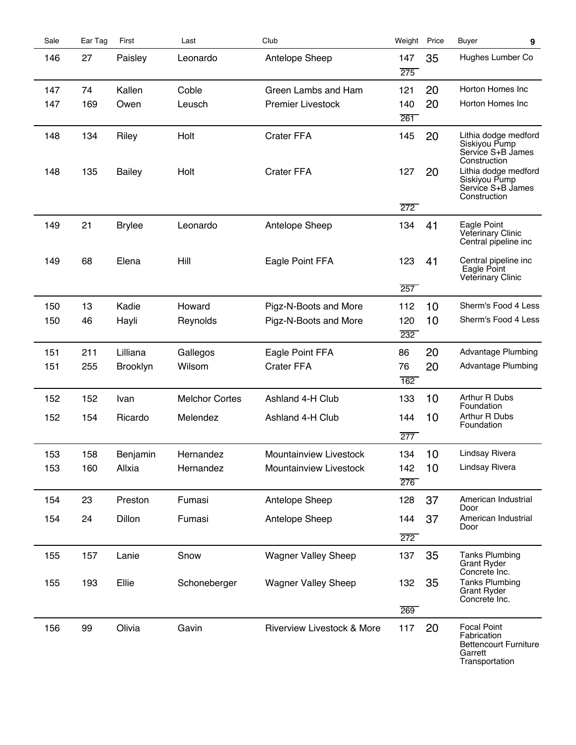| Sale       | Ear Tag    | First                  | Last                   | Club                                                    | Weight Price           |          | <b>Buyer</b><br>9                                                                                                                                        |
|------------|------------|------------------------|------------------------|---------------------------------------------------------|------------------------|----------|----------------------------------------------------------------------------------------------------------------------------------------------------------|
| 146        | 27         | Paisley                | Leonardo               | Antelope Sheep                                          | 147<br>275             | 35       | Hughes Lumber Co                                                                                                                                         |
| 147        | 74         | Kallen                 | Coble                  | Green Lambs and Ham                                     | 121                    | 20       | Horton Homes Inc                                                                                                                                         |
| 147        | 169        | Owen                   | Leusch                 | <b>Premier Livestock</b>                                | 140<br>261             | 20       | Horton Homes Inc                                                                                                                                         |
| 148<br>148 | 134<br>135 | Riley<br><b>Bailey</b> | Holt<br>Holt           | <b>Crater FFA</b><br><b>Crater FFA</b>                  | 145<br>127<br>272      | 20<br>20 | Lithia dodge medford<br>Siskiyou Pump<br>Service S+B James<br>Construction<br>Lithia dodge medford<br>Siskiyou Pump<br>Service S+B James<br>Construction |
| 149        | 21         | <b>Brylee</b>          | Leonardo               | Antelope Sheep                                          | 134                    | 41       | Eagle Point<br><b>Veterinary Clinic</b><br>Central pipeline inc                                                                                          |
| 149        | 68         | Elena                  | Hill                   | Eagle Point FFA                                         | 123<br>257             | 41       | Central pipeline inc<br>Eagle Point<br>Veterinary Clinic                                                                                                 |
| 150        | 13         | Kadie                  | Howard                 | Pigz-N-Boots and More                                   | 112                    | 10       | Sherm's Food 4 Less                                                                                                                                      |
| 150        | 46         | Hayli                  | Reynolds               | Pigz-N-Boots and More                                   | 120                    | 10       | Sherm's Food 4 Less                                                                                                                                      |
|            |            |                        |                        |                                                         | 232                    |          |                                                                                                                                                          |
| 151        | 211        | Lilliana               | Gallegos               | Eagle Point FFA                                         | 86                     | 20       | <b>Advantage Plumbing</b>                                                                                                                                |
| 151        | 255        | <b>Brooklyn</b>        | Wilsom                 | <b>Crater FFA</b>                                       | 76<br>$\overline{162}$ | 20       | <b>Advantage Plumbing</b>                                                                                                                                |
| 152        | 152        | Ivan                   | <b>Melchor Cortes</b>  | Ashland 4-H Club                                        | 133                    | 10       | Arthur R Dubs<br>Foundation                                                                                                                              |
| 152        | 154        | Ricardo                | Melendez               | Ashland 4-H Club                                        | 144<br>277             | 10       | Arthur R Dubs<br>Foundation                                                                                                                              |
|            |            |                        |                        |                                                         |                        |          |                                                                                                                                                          |
| 153<br>153 | 158<br>160 | Benjamin<br>Allxia     | Hernandez<br>Hernandez | <b>Mountainview Livestock</b><br>Mountainview Livestock | 134                    | 10<br>10 | Lindsay Rivera<br>Lindsay Rivera                                                                                                                         |
|            |            |                        |                        |                                                         | 142<br>276             |          |                                                                                                                                                          |
| 154        | 23         | Preston                | Fumasi                 | Antelope Sheep                                          | 128                    | 37       | American Industrial<br>Door                                                                                                                              |
| 154        | 24         | Dillon                 | Fumasi                 | Antelope Sheep                                          | 144                    | 37       | American Industrial                                                                                                                                      |
|            |            |                        |                        |                                                         | 272                    |          | Door                                                                                                                                                     |
| 155        | 157        | Lanie                  | Snow                   | <b>Wagner Valley Sheep</b>                              | 137                    | 35       | <b>Tanks Plumbing</b><br><b>Grant Ryder</b><br>Concrete Inc.                                                                                             |
| 155        | 193        | Ellie                  | Schoneberger           | <b>Wagner Valley Sheep</b>                              | 132                    | 35       | <b>Tanks Plumbing</b><br><b>Grant Ryder</b><br>Concrete Inc.                                                                                             |
|            |            |                        |                        |                                                         | 269                    |          |                                                                                                                                                          |
| 156        | 99         | Olivia                 | Gavin                  | <b>Riverview Livestock &amp; More</b>                   | 117                    | 20       | <b>Focal Point</b><br>Fabrication<br><b>Bettencourt Furniture</b><br>Garrett<br>Transportation                                                           |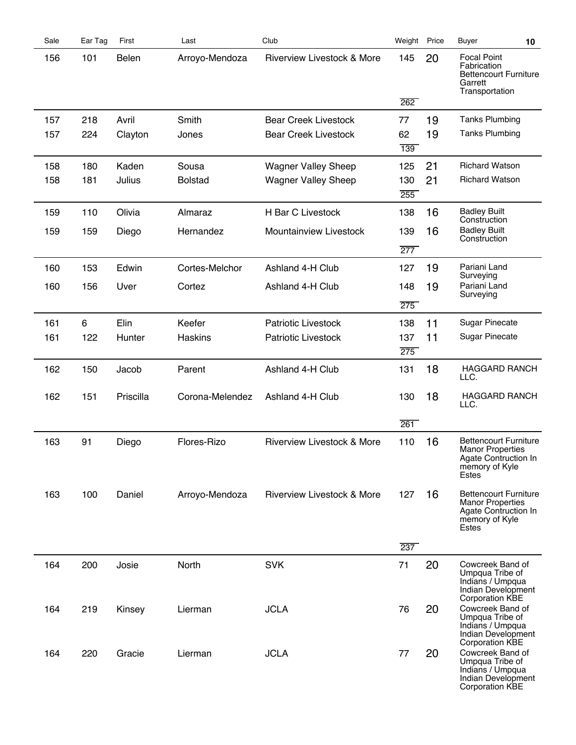| Sale | Ear Tag | First     | Last            | Club                                  | Weight Price |    | <b>Buyer</b><br>10                                                                                         |  |
|------|---------|-----------|-----------------|---------------------------------------|--------------|----|------------------------------------------------------------------------------------------------------------|--|
| 156  | 101     | Belen     | Arroyo-Mendoza  | Riverview Livestock & More            | 145          | 20 | <b>Focal Point</b><br>Fabrication<br><b>Bettencourt Furniture</b><br>Garrett<br>Transportation             |  |
|      |         |           |                 |                                       | 262          |    |                                                                                                            |  |
| 157  | 218     | Avril     | Smith           | <b>Bear Creek Livestock</b>           | 77           | 19 | <b>Tanks Plumbing</b>                                                                                      |  |
| 157  | 224     | Clayton   | Jones           | <b>Bear Creek Livestock</b>           | 62<br>139    | 19 | <b>Tanks Plumbing</b>                                                                                      |  |
| 158  | 180     | Kaden     | Sousa           | <b>Wagner Valley Sheep</b>            | 125          | 21 | <b>Richard Watson</b>                                                                                      |  |
| 158  | 181     | Julius    | <b>Bolstad</b>  | <b>Wagner Valley Sheep</b>            | 130<br>255   | 21 | <b>Richard Watson</b>                                                                                      |  |
| 159  | 110     | Olivia    | Almaraz         | H Bar C Livestock                     | 138          | 16 | <b>Badley Built</b>                                                                                        |  |
| 159  | 159     | Diego     | Hernandez       | Mountainview Livestock                | 139          | 16 | Construction<br><b>Badley Built</b><br>Construction                                                        |  |
|      |         |           |                 |                                       | 277          |    |                                                                                                            |  |
| 160  | 153     | Edwin     | Cortes-Melchor  | Ashland 4-H Club                      | 127          | 19 | Pariani Land<br>Surveying                                                                                  |  |
| 160  | 156     | Uver      | Cortez          | Ashland 4-H Club                      | 148          | 19 | Pariani Land                                                                                               |  |
|      |         |           |                 |                                       | 275          |    | Surveying                                                                                                  |  |
| 161  | 6       | Elin      | Keefer          | <b>Patriotic Livestock</b>            | 138          | 11 | <b>Sugar Pinecate</b>                                                                                      |  |
| 161  | 122     | Hunter    | <b>Haskins</b>  | Patriotic Livestock                   | 137          | 11 | <b>Sugar Pinecate</b>                                                                                      |  |
|      |         |           |                 |                                       | 275          |    |                                                                                                            |  |
| 162  | 150     | Jacob     | Parent          | Ashland 4-H Club                      | 131          | 18 | <b>HAGGARD RANCH</b><br>LLC.                                                                               |  |
| 162  | 151     | Priscilla | Corona-Melendez | Ashland 4-H Club                      | 130          | 18 | <b>HAGGARD RANCH</b><br>LLC.                                                                               |  |
|      |         |           |                 |                                       | 261          |    |                                                                                                            |  |
| 163  | 91      | Diego     | Flores-Rizo     | <b>Riverview Livestock &amp; More</b> | 110          | 16 | <b>Bettencourt Furniture</b><br><b>Manor Properties</b><br>Agate Contruction in<br>memory of Kyle<br>Estes |  |
| 163  | 100     | Daniel    | Arroyo-Mendoza  | <b>Riverview Livestock &amp; More</b> | 127          | 16 | <b>Bettencourt Furniture</b><br><b>Manor Properties</b><br>Agate Contruction In<br>memory of Kyle<br>Estes |  |
|      |         |           |                 |                                       | 237          |    |                                                                                                            |  |
| 164  | 200     | Josie     | North           | <b>SVK</b>                            | 71           | 20 | Cowcreek Band of<br>Umpqua Tribe of<br>Indians / Umpqua<br>Indian Development<br><b>Corporation KBE</b>    |  |
| 164  | 219     | Kinsey    | Lierman         | <b>JCLA</b>                           | 76           | 20 | Cowcreek Band of<br>Umpqua Tribe of<br>Indians / Umpqua<br>Indian Development<br><b>Corporation KBE</b>    |  |
| 164  | 220     | Gracie    | Lierman         | <b>JCLA</b>                           | 77           | 20 | Cowcreek Band of<br>Umpqua Tribe of<br>Indians / Umpqua<br>Indian Development<br><b>Corporation KBE</b>    |  |